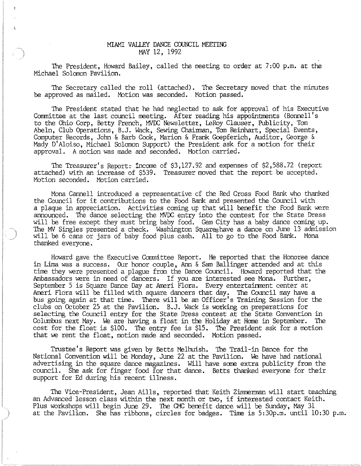## MIAMI VALLEY DANCE COUNCIL MEETING MAY 12, 1992

The President, Howard Bailey, called the meeting to order at 7:00 p.m. at the Michael Solomon Pavilion.

The Secretary called the roll (attached). The Secretary moved that the minutes be approved as mailed. Motion was seconded. Motion passed.

The President stated that he had neglected to ask for approval of his Executive Committee at the last council meeting. After reading his appointments (Bonnell's to the Ohio Corp, Betty French, MVOC Newsletter, LeRoy Clauser, Publicity, Tom Abeln, Club Operations, B.J. Wack, Sewing Chairman, Tom Reinhart, Special Events, Computer Records, John & Barb Cook, Marion & Frank Goepferich, Auditor, George & Mady D'Aloiso, Michael Solomon Support) the President ask for a motion for their approval. A motion was made and seconded. Motion carried.

The Treasurer's Report: income of \$3,127.92 and expenses of \$2,588.72 (report attached) with an increase of \$539. Treasurer moved that the report be accepted. Motion seconded. Motion carried.

Mona Cannell introduced a representative of the Red Cross Food Bank who thanked the Council for it contributions to the Food Bank and presented the Council with a plaque in appreciation. Activities coming up that will benefit the Food Bank were announced. The dance selecting the MVOC entry into the contest for the State Dress will be free except they must bring baby food. Gem City has a baby dance coming up. The MV Singles presented a check. Washington Squareshave a dance on June 13 admission will be 6 cans or jars of baby food plus cash. All to go to the Food Bank. Mona thanked everyone.

Howard gave the Executive Committee Report. He reported that the Honoree dance in Lima was a success. Our honor couple, Ann & Sam Ballinger attended and at this time they were presented a plague from the Dance Council. Howard reported that the Ambassadors were in need of dancers. If you are interested see Mona. FUrther, September 5 is Square Dance Day at Ameri Flora. Every entertainment center at Ameri Flora will be filled with square dancers that day. The Council may have a bus going again at that time. There will be an Officer's Training Session for the clubs on October 25 at the Pavilion. B.J. Wack is working on preparations for selecting the Council entry for the State Dress contest at the State Convention in Columbus next May. We are having a float in the Holiday at Home in September. The cost for the float is \$100. The entry fee is \$15. The President ask for a motion that we rent the float, motion made and seconded. Motion passed.

Trustee's Report was given by Betts Melhuish. The Trail-in Dance for the National Convention will be Monday, June 22 at the Pavilion. We have had national advertising in the square dance magazines. Will have some extra publicity from the council. She ask for finger food for that dance. Betts thanked everyone for their support for Ed during his recent illness.

The Vice-President, Jean Aills, reported that Keith Zimmerman will start teaching an Advanced lesson class within the next month or two, if interested contact Keith. Plus workshops will begin June 29. The CMC benefit dance will be Sunday, May 31 at the Pavilion. She has ribbons, circles for badges. Time is 5:30p.m. until 10:30 p.m.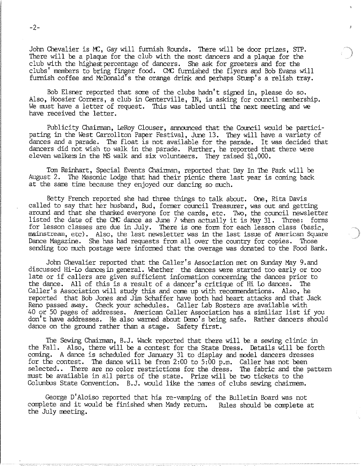John Chevalier is MC, Gay will furnish Rounds. There will be door prizes, STP. There will be a plaque for the club with the most dancers and a plaque for the club with the highest percentage of dancers. She ask for greeters and for the clubs' members to bring finger food. CMC furnished the flyers and Bob Evans will furnish coffee and McDonald's the orange drink and perhaps Stump's a relish tray.

Bob Elsner reported that sare of the clubs hadn't signed in, please do so. Also, Hoosier Corners, a club in Centerville, IN, is asking for council membership. We must have a letter of request. This was tabled until the next meeting and we have received the letter.

Publicity Chairman, leRoy Clouser, announced that the Council would be participating in the West Carrollton Paper Festival, June 13. They will have a variety of dances and a parade. The float is not available for the parade. It was decided that dancers did not wish to walk in the parade. Further, he reported that there were eleven walkers in the MS walk and six volunteers. They raised \$1,000.

Tom Reinhart, Special Events Chairman, reported that Day In The Park will be August 2. The Masonic Lodge that had their picnic there last year is coming back at the same time because they enjoyed our dancing so much.

Betty French reported she had three things to talk about. One, Rita Davis called to say that her husband, Bud, former council Treasurer, was out and getting around and that she thanked everyone for the cards, etc. Two, the council newsletter listed the date of the CMC dance as June 7 when actually it is May 31. Three: forms for lesson classes are due in July. There is one form for each lesson class (basic, mainstream, etc). Also, the last newsletter was in the last issue of American Square Dance Magazine. She has had requests from all over the country for copies. Those sending too much postage were informed that the overage was donated to the Food Bank.

John Chevalier reported that the Caller's Association met on Sunday May 9.and discussed Hi-Lo dancesin general. Whether the dances were started too early or too late or if callers are given sufficient information concerning the dances prior to the dance. All of this is a result of a dancer's critique of Hi Lo dances. The Caller's Association will study this and come up with recommendations. Also, he reported that Bob Jones and Jim Schaffer have both had heart attacks and that Jack Reno passed away. Check your schedules. Caller Lab Rosters are available with 40 or 50 pages of addresses. American Caller Association has a similiar list if you don't have addresses. He also warned about Demo's being safe. Rather dancers should dance on the ground rather than a stage. Safety first.

The Sewing Chairman, B.J. Wack reported that there will be a sewing clinic in the Fall. Also, there will be a contest for the State Dress. Details will be forth coming. A dance is scheduled for January 31 to display and model dancers dresses for the contest. The dance will be from 2:00 to 5:00 p.m. Caller has not been selected.. There are no color restrictions for the dress. The fabric and the pattern must be available in all parts of the state. Prize will be two tickets to the Columbus State Convention. B.J. would like the narres of clubs sewing chairmem.

George D'Aloiso reported that his re-vamping of the Bulletin Board was not complete and it would be finished when Mady return. Rules should be complete at the July meeting.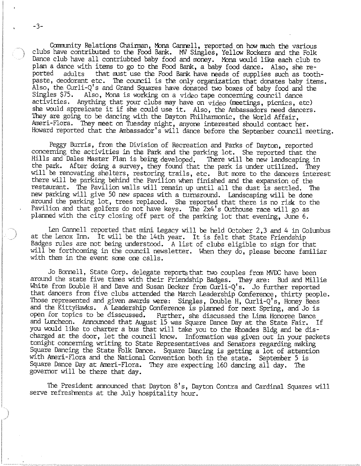Community Relations Chainman, Mona Cannell, reported on how much the various clubs have contributed to the Food Bank. MV Singles, Yellow Rockers and the Folk Dance club have all contriubted baby food and money. Mona would like each club to plan a dance with items to go to the Food Bank, a baby food dance. Also, she re-<br>ported adults that must use the Food Bank have needs of supplies such as toot adults that must use the Food Bank have needs of supplies such as toothpaste, deodorant etc. The council is the only organization that donates baby items. Also, the Curli-Q's and Grand Squares have donated two boxes of baby food and the Singles  $\$75$ . Also, Mona is working on a video tape concerning council dance Also, Mona is working on a video tape concerning council dance activities. Anything that your clubs may have on video (meetings, picnics, etc) she would appreicate it if she could use it. Also, the Ambassadors need dancers. They are going to be dancing with the Dayton Philharmonic, the World Affair, Ameri-Flora. They meet on Tuesday night, anyone interested should contact her. Howard reported that the Ambassador's will dance before the September council meeting.

Peggy Burris, from the Division of Recreation and Parks of Dayton, reported concerning the activities in the Park and the parking lot. She reported that Hills and Dales Master Plan is being developed. There will be new landscaping in the park. After doing a survey, they found that the park is under utilized. They will be renovating shelters, restoring trails, etc. But more to the dancers interest there will be parking behind the Pavilion when finished and the expansion of the restaurant. The Pavilion walls will remain up until all the dust is settled. The new parking will give 50 new spaces with a turnaround. Landscaping will be done around the parking lot, trees replaced. She reported that there is no risk to the Pavilion and that golfers do not have keys. The 2x4's Outhouse race will go as planned with the city closing off part of the parking lot that evening, June 6.

Len Cannell reported that mini Legacy will be held October  $2,3$  and  $4$  in Columbus at the Lenox Inn. It will be the 14th year. It is felt that State Friendship Badges rules are not being understood. A list of clubs eligible to sign for that will be forthcoming in the council newsletter. When they do, please become familiar with them in the event some one calls.

Jo Bonnell, State Corp. delegate reports that too couples from MVDC have been around the state five times with their Friendship Badges. They are: Bud and Millie White from Double H and Dave and Susan Decker from Curli-Q's. Jo further reported that dancers from five clubs attended the March Leadership Conference, thirty people. Those represented and given awards were: Singles, Double H, Curli-Q's, Honey Bees and the KittyHawks. A Leadership Conference is planned for next Spring, and Jo is Further, she discussed the Lima Honoree Dance and Luncheon. Announced that August 15 was Square Dance Day at the State Fair. If you would like to charter a bus that will take you to the Rhoades Bldg and be discharged at the door, let the council know. Information was given out in your packets tonight concerning writing to State Representatives and Senators regarding making Square Dancing the State Folk Dance. Square Dancing is getting a lot of attention with Ameri-Flora and the National Convention both in the state. September 5 is Square Dance Day at Ameri-Flora. They are expecting 160 dancing all day. The governor will be there that day.

The President announced that Dayton 8's, Dayton Contra and Cardinal Squares will serve refreshments at the July hospitality hour.

-3-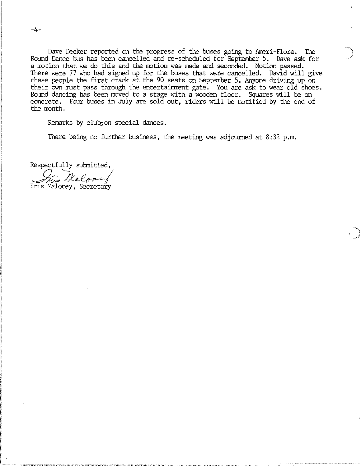Dave Decker reported on the progress of the buses going to Ameri-Flora. The Round Dance bus has been cancelled and re-scheduled for September 5. Dave ask for a motion that we do this and the motion was made and seconded. Motion passed. There were 77 who had signed up for the buses that were cancelled. David will give these people the first crack at the 90 seats on September 5. Anyone driving up on their own must pass through the entertainment gate. You are ask to wear old shoes. Round dancing has been moved to a stage with a wooden floor. Squares will be on concrete. Four buses in July are sold out, riders will be notified by the end of the month.

Remarks by clubs on special dances.

There being no further business, the meeting was adjourned at  $8:32$  p.m.

Respectfully submitted,

This Malorey

-4-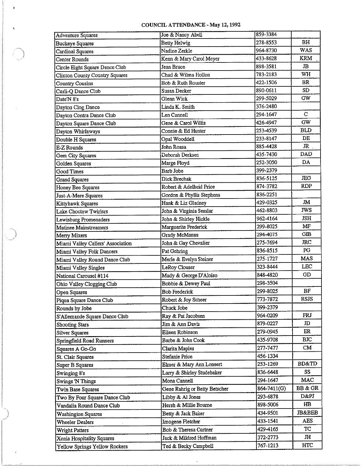## COUNCIL ATTENDANCE· May 12, 1992

 $\mathfrak{g}$ 

 $\epsilon$ 

 $\mathcal{A}$ 

and the second

| <b>Adventure Squares</b>          | Joe & Nancy Abell             | 859-3384    |                   |
|-----------------------------------|-------------------------------|-------------|-------------------|
| <b>Buckeye Squares</b>            | <b>Betty Helwig</b>           | 278-8553    | BH                |
| <b>Cardinal Squares</b>           | Nadine Zerkle                 | 964-8730    | <b>WAS</b>        |
| Center Rounds                     | Kenn & Mary Carol Meyer       | 433-8628    | <b>KRM</b>        |
| Circle Eight Square Dance Club    | Jean Bruce                    | 898-3581    | $_{\rm JB}$       |
| Clinton County Country Squares    | Chad & Wilma Hollon           | 783-2183    | WH                |
| Country Cousins                   | Bob & Ruth Rouster            | 422-1506    | BR                |
| Curli-Q Dance Club                | <b>Susan Decker</b>           | 890-0611    | SD.               |
| Date'N 8's                        | Glenn Wick                    | 299-5029    | GW                |
| Dayton Clog Dance                 | Linda K. Smith                | 376-2480    |                   |
| Dayton Contra Dance Club          | Len Cannell                   | 294-1647    | $\mathbf C$       |
| Dayton Square Dance Club          | Gene & Carol Willis           | 426-4947    | GW                |
| Dayton Whirlaways                 | Connie & Ed Hunter            | 253-4539    | <b>BLD</b>        |
| Double H Squares                  | Opal Wooddell                 | 233-8147    | DE                |
| E-Z Rounds                        | John Roasa                    | 885-4428    | JR                |
| Gem City Squares                  | Deborah Derksen               | 435-7430    | DAD               |
| Golden Squares                    | Marge Floyd                   | 252-3050    | DA                |
| Good Times                        | <b>Barb Jobe</b>              | 399-2379    |                   |
| <b>Grand Squares</b>              | Dick Brechak                  | 836-5125    | <b>JEG</b>        |
| Honey Bee Squares                 | Robert & Adelheid Price       | 874-3782    | <b>RDP</b>        |
| Just-A-Mere Squares               | Gordon & Phyllis Stephens     | 836-2251    |                   |
| Kittyhawk Squares                 | Hank & Liz Gladney            | 429-0325    | Лſ                |
| Lake Choctaw Twirlers             | John & Virginia Sesslar       | 462-8803    | <b>JWS</b>        |
| Lewisburg Promenaders             | John & Shirley Hickle         | 962-4164    | <b>JSH</b>        |
| Matinee Mainstreamers             | Marguerite Frederick          | 299-8025    | MF                |
| Merry Mixers                      | Grady McManus                 | 294-4075    | GIB               |
| Miami Valley Callers' Association | John & Gay Chevalier          | 275-7694    | JRC               |
| Miami Valley Folk Dancers         | Pat Gehring                   | 836-8515    | PG                |
| Miami Valley Round Dance Club     | Merle & Evelyn Steiner        | 275-1727    | <b>MAS</b>        |
| Miami Valley Singles              | LeRoy Clouser                 | 323-8444    | <b>LEC</b>        |
| National Carousel #114            | Mady & George D'Aloiso        | 848-4820    | GD                |
| Ohio Valley Clogging Club         | Bobbie & Dewey Paul           | 298-3504    |                   |
| Open Squares                      | <b>Bob Frederick</b>          | 299-8025    | BF                |
| Piqua Square Dance Club           | Robert & Joy Scheer           | 773-7872    | <b>RSJS</b>       |
| Rounds by Jobe                    | Chuck Jobe                    | 399-2379    |                   |
| S'Allemande Square Dance Club     | Ray & Pat Jacobsen            | 964-0209    | <b>FRJ</b>        |
| <b>Shooting Stars</b>             | Jim & Ann Davis               | 879-0227    | JD                |
| <b>Silver Squares</b>             | Eileen Robinson               | 279-0945    | ER                |
| Springfield Road Runners          | Barbe & John Cook             | 435-9708    | <b>BIC</b>        |
| Squares A Go-Go                   | Clarita Maples                | 277-7477    | CM                |
| St. Clair Squares                 | Stefanie Price                | 456-1334    |                   |
| Super B Squares                   | Elmer & Mary Ann Lonsert      | 253-1269    | <b>BD&amp;TD</b>  |
| Swinging 8's                      | Larry & Shirley Studebaker    | 836-6448    | SS                |
| <b>Swings 'N Things</b>           | Mona Cannell                  | 294-1647    | MAC               |
| Twin Base Squares                 | Gene Rahrig or Betty Betscher | 864-7411(G) | BB & GR           |
| Two By Four Square Dance Club     | Libby & Al Jones              | 293-6878    | D&PJ              |
| Vandalia Round Dance Club         | Hersh & Millie Bourne         | 898-5006    | HB                |
| <b>Washington Squares</b>         | Betty & Jack Baker            | 434-9501    | <b>JB&amp;BEB</b> |
| <b>Wheeler Dealers</b>            | Imogene Fletcher              | 433-1541    | <b>AES</b>        |
| <b>Wright Patters</b>             | Bob & Theresa Curtner         | 429-4165    | TC                |
| Xenia Hospitality Squares         | Jack & Mildred Huffman        | 372-2773    | JH                |
| Yellow Springs Yellow Rockers     | Ted & Becky Campbell          | 767-1213    | HTC               |

 $\sim 100$  km s  $^{-1}$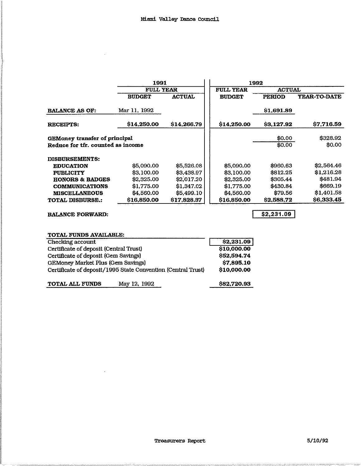$\sim$ 

 $\sim$ 

|                                   | 1991<br><b>FULL YEAR</b> |               | 1992             |               |                     |
|-----------------------------------|--------------------------|---------------|------------------|---------------|---------------------|
|                                   |                          |               | <b>FULL YEAR</b> | <b>ACTUAL</b> |                     |
|                                   | <b>BUDGET</b>            | <b>ACTUAL</b> | <b>BUDGET</b>    | <b>PERIOD</b> | <b>YEAR-TO-DATE</b> |
| <b>BALANCE AS OF:</b>             | Mar 11, 1992             |               |                  | \$1,691.89    |                     |
| <b>RECEIPTS:</b>                  | \$14,250.00              | S14,266.79    | \$14,250.00      | \$3,127.92    | \$7,716.59          |
| GEMoney transfer of principal     |                          |               |                  | \$0.00        | \$328.92            |
| Reduce for tfr. counted as income |                          |               |                  | \$0.00        | \$0.00              |
| <b>DISBURSEMENTS:</b>             |                          |               |                  |               |                     |
| <b>EDUCATION</b>                  | \$5,090.00               | \$5,526.08    | \$5,090.00       | \$960.63      | \$2,564.46          |
| <b>PUBLICITY</b>                  | \$3,100.00               | \$3,438.97    | \$3,100.00       | \$812.25      | \$1,216.28          |
| <b>HONORS &amp; BADGES</b>        | \$2,325.00               | \$2.017.20    | \$2,325.00       | \$305.44      | \$481.94            |
| <b>COMMUNICATIONS</b>             | \$1,775.00               | \$1,347.02    | \$1,775.00       | \$430.84      | \$669.19            |
| <b>MISCELLANEOUS</b>              | \$4,560.00               | \$5,499.10    | \$4,560.00       | \$79.56       | \$1,401.58          |
| <b>TOTAL DISBURSE.:</b>           | \$16,850.00              | \$17,828.37   | \$16,850.00      | \$2,588.72    | \$6,333.45          |
| <b>BALANCE FORWARD:</b>           |                          |               |                  | \$2,231.09    |                     |
| <b>TOTAL FUNDS AVAILABLE:</b>     |                          |               |                  |               |                     |

| \$82,720.93 |
|-------------|
| \$10,000.00 |
| \$7,895.10  |
| \$52,594.74 |
| \$10,000.00 |
| \$2,231.09  |
|             |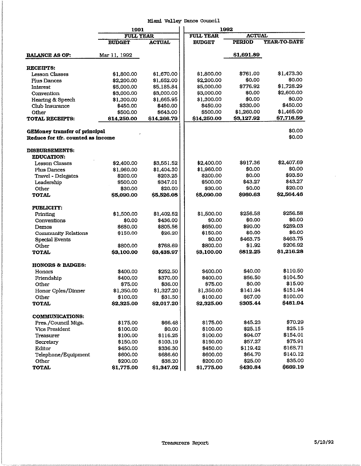## Miami Valley Dance Council

|                                                                    | 1991             |               | 1992             |               |                     |
|--------------------------------------------------------------------|------------------|---------------|------------------|---------------|---------------------|
|                                                                    | <b>FULL YEAR</b> |               | <b>FULL YEAR</b> | <b>ACTUAL</b> |                     |
|                                                                    | <b>BUDGET</b>    | <b>ACTUAL</b> | <b>BUDGET</b>    | <b>PERIOD</b> | <b>YEAR-TO-DATE</b> |
| <b>BALANCE AS OF:</b>                                              | Mar 11, 1992     |               |                  | \$1,691.89    |                     |
|                                                                    |                  |               |                  |               |                     |
| <b>RECEIPTS:</b><br><b>Lesson Classes</b>                          | \$1,800.00       | \$1,670.00    | \$1,800.00       | \$761.00      | \$1,473.30          |
| Plus Dances                                                        | \$2,200.00       | \$1,652.00    | \$2,200.00       | \$0.00        | \$0.00              |
| Interest                                                           | \$5,000.00       | \$5,185.84    | \$5,000.00       | \$776.92      | \$1,728.29          |
| Convention                                                         | \$3,000.00       | \$3,000.00    | \$3,000.00       | \$0.00        | \$2,600.00          |
| Hearing & Speech                                                   | \$1,300.00       | \$1,665.95    | \$1,300.00       | \$0.00        | \$0.00              |
| Club Insurance                                                     | \$450.00         | \$450.00      | \$450.00         | \$330.00      | \$450.00            |
| Other                                                              | \$500.00         | \$643.00      | \$500.00         | \$1,260.00    | \$1,465.00          |
| TOTAL RECEIPTS:                                                    | \$14,250.00      | \$14,266.79   | \$14,250.00      | \$3,127.92    | \$7,716.59          |
| GEMoney transfer of principal<br>Reduce for tfr. counted as income |                  |               |                  |               | \$0.00<br>\$0.00    |
| <b>DISBURSEMENTS:</b><br><b>EDUCATION:</b>                         |                  |               |                  |               |                     |
| Lesson Classes                                                     | \$2,400.00       | \$3,551.52    | \$2,400.00       | \$917.36      | \$2,407.69          |
| <b>Plus Dances</b>                                                 | \$1,960.00       | \$1,404.30    | \$1,960.00       | \$0.00        | \$0.00              |
| Travel - Delegates                                                 | \$200.00         | \$203.25      | \$200.00         | \$0.00        | \$93.50             |
| Leadership                                                         | \$500.00         | \$347.01      | \$500.00         | \$43.27       | \$43.27             |
| Other                                                              | \$30.00          | \$20.00       | \$30.00          | \$0.00        | \$20.00             |
| <b>TOTAL</b>                                                       | \$5,090.00       | \$5,526.08    | \$5,090.00       | \$960.63      | \$2,564.46          |
| <b>PUBLICITY:</b>                                                  |                  |               |                  |               |                     |
| Printing                                                           | \$1,500.00       | \$1,402.52    | \$1,500.00       | \$256.58      | \$256.58            |
| Conventions                                                        | \$0.00           | \$436.00      | \$0.00           | \$0.00        | \$0.00              |
| Demos                                                              | \$650.00         | \$805.56      | \$650.00         | \$90.00       | \$289.03            |
| <b>Community Relations</b>                                         | \$150.00         | \$26.20       | \$150.00         | \$0.00        | \$0.00              |
| <b>Special Events</b>                                              |                  |               | \$0.00           | \$463.75      | \$463.75            |
| Other                                                              | \$800.00         | \$768.69      | \$800.00         | \$1.92        | \$206.92            |
| <b>TOTAL</b>                                                       | \$3,100.00       | \$3,438.97    | \$3,100.00       | \$812.25      | \$1,216.28          |
| <b>HONORS &amp; BADGES:</b>                                        |                  |               |                  |               |                     |
| Honors                                                             | \$400.00         | \$252.50      | \$400.00         | \$40.00       | \$110.50            |
| Friendship                                                         | \$400.00         | \$370.00      | \$400,00         | \$56.50       | \$104.50            |
| Other                                                              | \$75.00          | \$36.00       | \$75.00          | \$0.00        | \$15.00             |
| Honor Cples/Dinner                                                 | \$1,350.00       | \$1,327.20    | \$1,350.00       | \$141.94      | \$151.94            |
| Other                                                              | \$100.00         | \$31.50       | \$100.00         | \$67.00       | \$100.00            |
| <b>TOTAL</b>                                                       | \$2,325.00       | \$2,017.20    | \$2,325.00       | \$305.44      | \$481.94            |
| <b>COMMUNICATIONS:</b>                                             |                  |               |                  |               |                     |
| Pres./Council Mtgs.                                                | \$175.00         | \$66.48       | \$175.00         | \$45.23       | \$70.29             |
| Vice President                                                     | \$100.00         | \$0.00        | \$100.00         | \$25.15       | \$25.15             |
| Treasurer                                                          | \$100.00         | \$116.25      | \$100.00         | \$94.07       | \$154.01            |
| Secretary                                                          | \$150.00         | \$103.19      | \$150.00         | \$57.27       | \$75.91             |
| Editor                                                             | \$450.00         | \$336.30      | \$450.00         | \$119.42      | \$168.71            |
| Telephone/Equipment                                                | \$600.00         | \$686.60      | \$600.00         | \$64.70       | \$140.12            |
| Other                                                              | \$200.00         | \$38.20       | \$200.00         | \$25.00       | \$35.00             |
| <b>TOTAL</b>                                                       | \$1,775.00       | \$1,347.02    | \$1,775.00       | \$430.84      | \$669.19            |